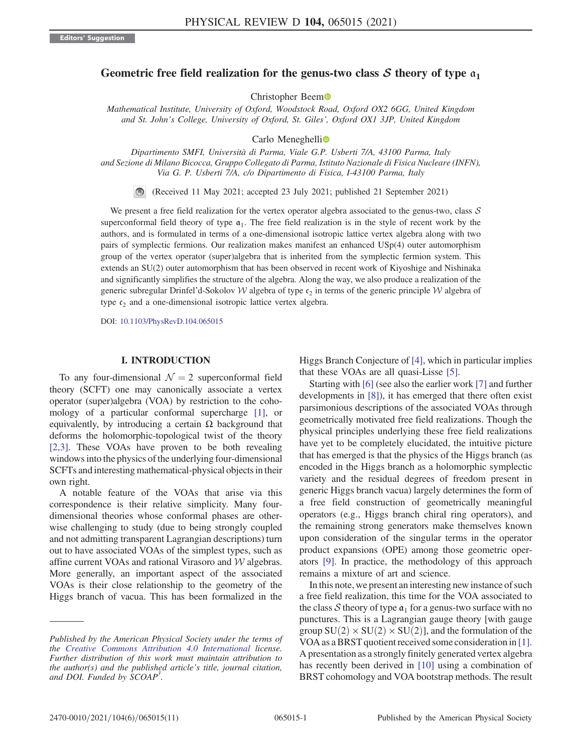# Geometric free field realization for the genus-two class  $S$  theory of type  $a_1$

Christopher Beem

Mathematical Institute, University of Oxford, Woodstock Road, Oxford OX2 6GG, United Kingdom and St. John's College, University of Oxford, St. Giles', Oxford OX1 3JP, United Kingdom

Carlo Meneghelli<sup>o</sup>

Dipartimento SMFI, Università di Parma, Viale G.P. Usberti 7/A, 43100 Parma, Italy and Sezione di Milano Bicocca, Gruppo Collegato di Parma, Istituto Nazionale di Fisica Nucleare (INFN), Via G. P. Usberti 7/A, c/o Dipartimento di Fisica, I-43100 Parma, Italy

(Received 11 May 2021; accepted 23 July 2021; published 21 September 2021)

We present a free field realization for the vertex operator algebra associated to the genus-two, class  $S$ superconformal field theory of type  $a_1$ . The free field realization is in the style of recent work by the authors, and is formulated in terms of a one-dimensional isotropic lattice vertex algebra along with two pairs of symplectic fermions. Our realization makes manifest an enhanced USp(4) outer automorphism group of the vertex operator (super)algebra that is inherited from the symplectic fermion system. This extends an SU(2) outer automorphism that has been observed in recent work of Kiyoshige and Nishinaka and significantly simplifies the structure of the algebra. Along the way, we also produce a realization of the generic subregular Drinfel'd-Sokolov W algebra of type  $c_2$  in terms of the generic principle W algebra of type  $c_2$  and a one-dimensional isotropic lattice vertex algebra.

DOI: [10.1103/PhysRevD.104.065015](https://doi.org/10.1103/PhysRevD.104.065015)

# I. INTRODUCTION

To any four-dimensional  $\mathcal{N} = 2$  superconformal field theory (SCFT) one may canonically associate a vertex operator (super)algebra (VOA) by restriction to the cohomology of a particular conformal supercharge [\[1\]](#page-9-0), or equivalently, by introducing a certain  $\Omega$  background that deforms the holomorphic-topological twist of the theory [\[2,3\].](#page-9-1) These VOAs have proven to be both revealing windows into the physics of the underlying four-dimensional SCFTs and interesting mathematical-physical objects in their own right.

A notable feature of the VOAs that arise via this correspondence is their relative simplicity. Many fourdimensional theories whose conformal phases are otherwise challenging to study (due to being strongly coupled and not admitting transparent Lagrangian descriptions) turn out to have associated VOAs of the simplest types, such as affine current VOAs and rational Virasoro and W algebras. More generally, an important aspect of the associated VOAs is their close relationship to the geometry of the Higgs branch of vacua. This has been formalized in the Higgs Branch Conjecture of [\[4\],](#page-9-2) which in particular implies that these VOAs are all quasi-Lisse [\[5\].](#page-9-3)

Starting with [\[6\]](#page-9-4) (see also the earlier work [\[7\]](#page-9-5) and further developments in [\[8\]](#page-9-6)), it has emerged that there often exist parsimonious descriptions of the associated VOAs through geometrically motivated free field realizations. Though the physical principles underlying these free field realizations have yet to be completely elucidated, the intuitive picture that has emerged is that the physics of the Higgs branch (as encoded in the Higgs branch as a holomorphic symplectic variety and the residual degrees of freedom present in generic Higgs branch vacua) largely determines the form of a free field construction of geometrically meaningful operators (e.g., Higgs branch chiral ring operators), and the remaining strong generators make themselves known upon consideration of the singular terms in the operator product expansions (OPE) among those geometric operators [\[9\].](#page-9-7) In practice, the methodology of this approach remains a mixture of art and science.

In this note, we present an interesting new instance of such a free field realization, this time for the VOA associated to the class S theory of type  $a_1$  for a genus-two surface with no punctures. This is a Lagrangian gauge theory [with gauge group  $SU(2) \times SU(2) \times SU(2)$ ], and the formulation of the VOA as a BRST quotient received some consideration in [\[1\]](#page-9-0). A presentation as a strongly finitely generated vertex algebra has recently been derived in [\[10\]](#page-9-8) using a combination of BRST cohomology and VOA bootstrap methods. The result

Published by the American Physical Society under the terms of the [Creative Commons Attribution 4.0 International](https://creativecommons.org/licenses/by/4.0/) license. Further distribution of this work must maintain attribution to the author(s) and the published article's title, journal citation, and DOI. Funded by SCOAP<sup>3</sup>.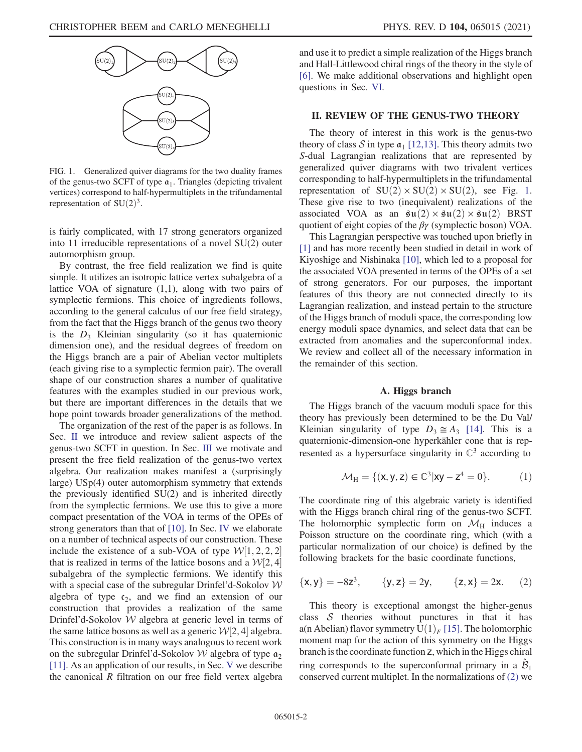<span id="page-1-1"></span>

FIG. 1. Generalized quiver diagrams for the two duality frames of the genus-two SCFT of type  $a_1$ . Triangles (depicting trivalent vertices) correspond to half-hypermultiplets in the trifundamental representation of  $SU(2)^3$ .

is fairly complicated, with 17 strong generators organized into 11 irreducible representations of a novel SU(2) outer automorphism group.

By contrast, the free field realization we find is quite simple. It utilizes an isotropic lattice vertex subalgebra of a lattice VOA of signature (1,1), along with two pairs of symplectic fermions. This choice of ingredients follows, according to the general calculus of our free field strategy, from the fact that the Higgs branch of the genus two theory is the  $D_3$  Kleinian singularity (so it has quaternionic dimension one), and the residual degrees of freedom on the Higgs branch are a pair of Abelian vector multiplets (each giving rise to a symplectic fermion pair). The overall shape of our construction shares a number of qualitative features with the examples studied in our previous work, but there are important differences in the details that we hope point towards broader generalizations of the method.

The organization of the rest of the paper is as follows. In Sec. [II](#page-1-0) we introduce and review salient aspects of the genus-two SCFT in question. In Sec. [III](#page-3-0) we motivate and present the free field realization of the genus-two vertex algebra. Our realization makes manifest a (surprisingly large) USp(4) outer automorphism symmetry that extends the previously identified SU(2) and is inherited directly from the symplectic fermions. We use this to give a more compact presentation of the VOA in terms of the OPEs of strong generators than that of [\[10\].](#page-9-8) In Sec. [IV](#page-6-0) we elaborate on a number of technical aspects of our construction. These include the existence of a sub-VOA of type  $W[1, 2, 2, 2]$ <br>that is realized in terms of the lattice bosons and a  $W[2, 4]$ that is realized in terms of the lattice bosons and a  $\mathcal{W}[2, 4]$ <br>subalgebra of the symplectic fermions. We identify this subalgebra of the symplectic fermions. We identify this with a special case of the subregular Drinfel'd-Sokolov  $W$ algebra of type  $c_2$ , and we find an extension of our construction that provides a realization of the same Drinfel'd-Sokolov W algebra at generic level in terms of the same lattice bosons as well as a generic  $W[2, 4]$  algebra.<br>This construction is in many ways analogous to recent work This construction is in many ways analogous to recent work on the subregular Drinfel'd-Sokolov W algebra of type  $\mathfrak{a}_2$ [\[11\]](#page-9-9). As an application of our results, in Sec. [V](#page-7-0) we describe the canonical R filtration on our free field vertex algebra and use it to predict a simple realization of the Higgs branch and Hall-Littlewood chiral rings of the theory in the style of [\[6\]](#page-9-4). We make additional observations and highlight open questions in Sec. [VI.](#page-8-0)

## <span id="page-1-0"></span>II. REVIEW OF THE GENUS-TWO THEORY

The theory of interest in this work is the genus-two theory of class S in type  $\mathfrak{a}_1$  [\[12,13\].](#page-9-10) This theory admits two S-dual Lagrangian realizations that are represented by generalized quiver diagrams with two trivalent vertices corresponding to half-hypermultiplets in the trifundamental representation of  $SU(2) \times SU(2) \times SU(2)$ , see Fig. [1](#page-1-1). These give rise to two (inequivalent) realizations of the associated VOA as an  $\mathfrak{su}(2) \times \mathfrak{su}(2) \times \mathfrak{su}(2)$  BRST quotient of eight copies of the  $\beta\gamma$  (symplectic boson) VOA.

This Lagrangian perspective was touched upon briefly in [\[1\]](#page-9-0) and has more recently been studied in detail in work of Kiyoshige and Nishinaka [\[10\]](#page-9-8), which led to a proposal for the associated VOA presented in terms of the OPEs of a set of strong generators. For our purposes, the important features of this theory are not connected directly to its Lagrangian realization, and instead pertain to the structure of the Higgs branch of moduli space, the corresponding low energy moduli space dynamics, and select data that can be extracted from anomalies and the superconformal index. We review and collect all of the necessary information in the remainder of this section.

# A. Higgs branch

<span id="page-1-3"></span>The Higgs branch of the vacuum moduli space for this theory has previously been determined to be the Du Val/ Kleinian singularity of type  $D_3 \cong A_3$  [\[14\].](#page-9-11) This is a quaternionic-dimension-one hyperkähler cone that is represented as a hypersurface singularity in  $\mathbb{C}^3$  according to

$$
\mathcal{M}_{H} = \{ (x, y, z) \in \mathbb{C}^{3} | xy - z^{4} = 0 \}.
$$
 (1)

<span id="page-1-2"></span>The coordinate ring of this algebraic variety is identified with the Higgs branch chiral ring of the genus-two SCFT. The holomorphic symplectic form on  $\mathcal{M}_{\rm H}$  induces a Poisson structure on the coordinate ring, which (with a particular normalization of our choice) is defined by the following brackets for the basic coordinate functions,

$$
\{x, y\} = -8z^3, \qquad \{y, z\} = 2y, \qquad \{z, x\} = 2x. \tag{2}
$$

This theory is exceptional amongst the higher-genus class  $S$  theories without punctures in that it has a(n Abelian) flavor symmetry  $U(1)_F$  [\[15\]](#page-9-12). The holomorphic moment map for the action of this symmetry on the Higgs branch is the coordinate function z, which in the Higgs chiral ring corresponds to the superconformal primary in a  $\mathcal{B}_1$ conserved current multiplet. In the normalizations of [\(2\)](#page-1-2) we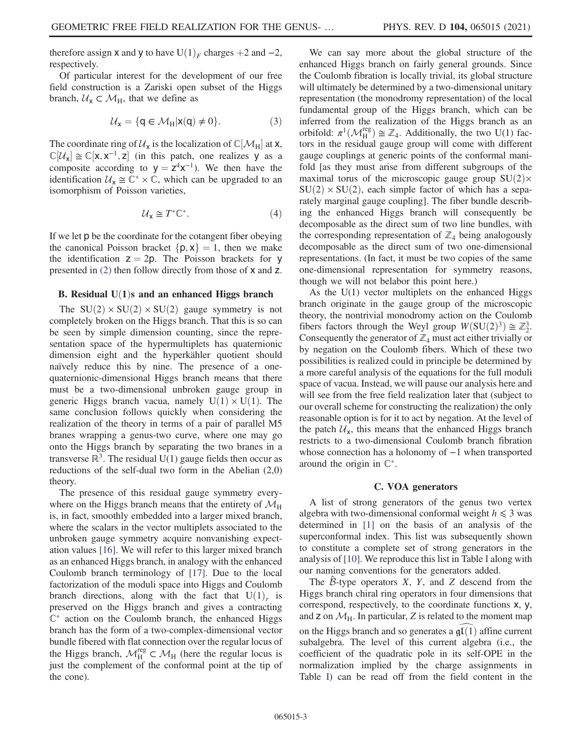therefore assign **x** and **y** to have  $U(1)_F$  charges +2 and -2, respectively.

Of particular interest for the development of our free field construction is a Zariski open subset of the Higgs branch,  $U_x \subset M_H$ , that we define as

$$
\mathcal{U}_{\mathbf{x}} = \{ \mathbf{q} \in \mathcal{M}_{\mathbf{H}} | \mathbf{x}(\mathbf{q}) \neq 0 \}. \tag{3}
$$

The coordinate ring of  $\mathcal{U}_x$  is the localization of  $\mathbb{C}[\mathcal{M}_H]$  at **x**,<br> $\mathbb{C}[\mathcal{U}] \simeq \mathbb{C}[\mathbf{v} \; \mathbf{v}^{-1} \; \mathbf{z}]$  (in this patch, one realizes  $\mathcal{U}$  as a  $\mathbb{C}[\mathcal{U}_x] \cong \mathbb{C}[x, x^{-1}, z]$  (in this patch, one realizes y as a composite according to  $V = z^4x^{-1}$ ). We then have the composite according to  $y = z^4x^{-1}$ ). We then have the identification  $U_x \cong \mathbb{C}^* \times \mathbb{C}$ , which can be upgraded to an isomorphism of Poisson varieties,

$$
\mathcal{U}_{\mathbf{x}} \cong T^* \mathbb{C}^*.
$$
 (4)

If we let p be the coordinate for the cotangent fiber obeying the canonical Poisson bracket  $\{p, x\} = 1$ , then we make the identification  $z = 2p$ . The Poisson brackets for y presented in [\(2\)](#page-1-2) then follow directly from those of x and z.

#### B. Residual  $U(1)$ s and an enhanced Higgs branch

The  $SU(2) \times SU(2) \times SU(2)$  gauge symmetry is not completely broken on the Higgs branch. That this is so can be seen by simple dimension counting, since the representation space of the hypermultiplets has quaternionic dimension eight and the hyperkähler quotient should naïvely reduce this by nine. The presence of a onequaternionic-dimensional Higgs branch means that there must be a two-dimensional unbroken gauge group in generic Higgs branch vacua, namely  $U(1) \times U(1)$ . The same conclusion follows quickly when considering the realization of the theory in terms of a pair of parallel M5 branes wrapping a genus-two curve, where one may go onto the Higgs branch by separating the two branes in a transverse  $\mathbb{R}^3$ . The residual U(1) gauge fields then occur as reductions of the self-dual two form in the Abelian (2,0) theory.

The presence of this residual gauge symmetry everywhere on the Higgs branch means that the entirety of  $\mathcal{M}_{\rm H}$ is, in fact, smoothly embedded into a larger mixed branch, where the scalars in the vector multiplets associated to the unbroken gauge symmetry acquire nonvanishing expectation values [\[16\].](#page-9-13) We will refer to this larger mixed branch as an enhanced Higgs branch, in analogy with the enhanced Coulomb branch terminology of [\[17\]](#page-9-14). Due to the local factorization of the moduli space into Higgs and Coulomb branch directions, along with the fact that  $U(1)_r$  is preserved on the Higgs branch and gives a contracting  $\mathbb{C}^*$  action on the Coulomb branch, the enhanced Higgs branch has the form of a two-complex-dimensional vector bundle fibered with flat connection over the regular locus of the Higgs branch,  $\mathcal{M}_{H}^{reg} \subset \mathcal{M}_{H}$  (here the regular locus is just the complement of the conformal point at the tip of the cone).

We can say more about the global structure of the enhanced Higgs branch on fairly general grounds. Since the Coulomb fibration is locally trivial, its global structure will ultimately be determined by a two-dimensional unitary representation (the monodromy representation) of the local fundamental group of the Higgs branch, which can be inferred from the realization of the Higgs branch as an orbifold:  $\pi^1(\mathcal{M}_{\text{H}}^{\text{reg}}) \cong \mathbb{Z}_4$ . Additionally, the two U(1) factors in the residual gauge group will come with different tors in the residual gauge group will come with different gauge couplings at generic points of the conformal manifold [as they must arise from different subgroups of the maximal torus of the microscopic gauge group  $SU(2) \times$  $SU(2) \times SU(2)$ , each simple factor of which has a separately marginal gauge coupling]. The fiber bundle describing the enhanced Higgs branch will consequently be decomposable as the direct sum of two line bundles, with the corresponding representation of  $\mathbb{Z}_4$  being analogously decomposable as the direct sum of two one-dimensional representations. (In fact, it must be two copies of the same one-dimensional representation for symmetry reasons, though we will not belabor this point here.)

As the  $U(1)$  vector multiplets on the enhanced Higgs branch originate in the gauge group of the microscopic theory, the nontrivial monodromy action on the Coulomb fibers factors through the Weyl group  $W(SU(2)^3) \cong \mathbb{Z}_2^3$ .<br>Consequently the generator of  $\mathbb{Z}_2$  must act either trivially on Consequently the generator of  $\mathbb{Z}_4$  must act either trivially or by negation on the Coulomb fibers. Which of these two possibilities is realized could in principle be determined by a more careful analysis of the equations for the full moduli space of vacua. Instead, we will pause our analysis here and will see from the free field realization later that (subject to our overall scheme for constructing the realization) the only reasonable option is for it to act by negation. At the level of the patch  $U_x$ , this means that the enhanced Higgs branch restricts to a two-dimensional Coulomb branch fibration whose connection has a holonomy of −1 when transported around the origin in  $\mathbb{C}^*$ .

# C. VOA generators

A list of strong generators of the genus two vertex algebra with two-dimensional conformal weight  $h \leq 3$  was determined in [\[1\]](#page-9-0) on the basis of an analysis of the superconformal index. This list was subsequently shown to constitute a complete set of strong generators in the analysis of [\[10\].](#page-9-8) We reproduce this list in Table [I](#page-3-1) along with our naming conventions for the generators added.

The  $\beta$ -type operators  $X$ ,  $Y$ , and  $Z$  descend from the Higgs branch chiral ring operators in four dimensions that correspond, respectively, to the coordinate functions x, y, and  $\mathsf{z}$  on  $\mathcal{M}_{\mathsf{H}}$ . In particular, Z is related to the moment map on the Higgs branch and so generates a  $\mathfrak{gl}(1)$  affine current subalgebra. The level of this current algebra (i.e., the coefficient of the quadratic pole in its self-OPE in the normalization implied by the charge assignments in Table [I\)](#page-3-1) can be read off from the field content in the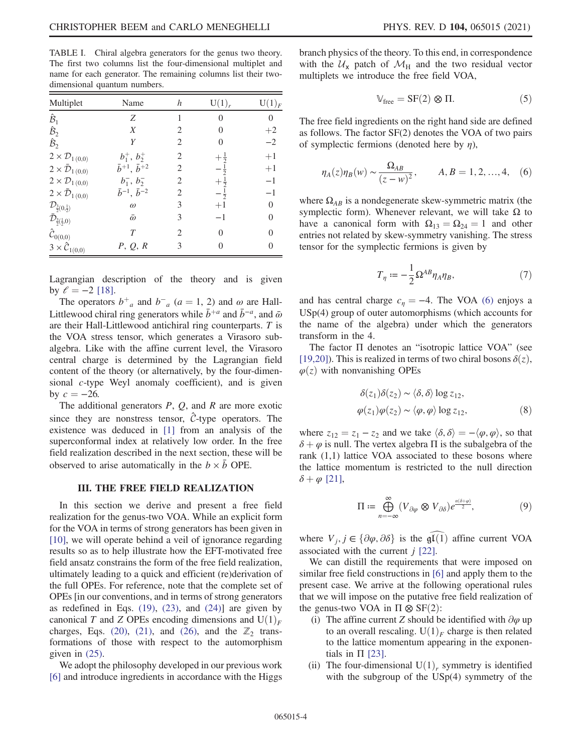<span id="page-3-1"></span>TABLE I. Chiral algebra generators for the genus two theory. The first two columns list the four-dimensional multiplet and name for each generator. The remaining columns list their twodimensional quantum numbers.

| Multiplet                                        | Name                            | h              | U(1) <sub>r</sub> | $\mathop{\rm U}(1)_F$ |
|--------------------------------------------------|---------------------------------|----------------|-------------------|-----------------------|
| $\hat{\mathcal{B}}_1$                            | Z                               | 1              | $\theta$          | $\theta$              |
| $\hat{\mathcal{B}}_2$                            | X                               | $\mathfrak{D}$ | $\Omega$          | $+2$                  |
| $\hat{\mathcal{B}}_2$                            | Y                               | 2              | 0                 | $-2$                  |
| $2 \times \mathcal{D}_{1(0,0)}$                  | $b_1^+, b_2^+$                  | 2              | $\frac{1}{2}$     | $+1$                  |
| $2 \times \bar{\mathcal{D}}_{1(0,0)}$            | $\bar{b}^{+1}, \, \bar{b}^{+2}$ | 2              |                   | $+1$                  |
| $2 \times \mathcal{D}_{1(0,0)}$                  | $b_1^-, b_2^-$                  | 2              |                   | $-1$                  |
| $2 \times \bar{\mathcal{D}}_{1(0,0)}$            | $\bar{b}^{-1}, \bar{b}^{-2}$    | 2              | $-\frac{1}{2}$    | $-1$                  |
| $\mathcal{D}_{\frac{3}{2}(0,\frac{1}{2})}$       | $\omega$                        | 3              | $+1$              | $\theta$              |
| $\bar{\mathcal{D}}_{\frac{3}{2}(\frac{1}{2},0)}$ | $\bar{\omega}$                  | 3              | $-1$              | $\Omega$              |
| $\hat{\mathcal{C}}_{0(0,0)}$                     | T                               | $\overline{c}$ | $\Omega$          | $\Omega$              |
| $3 \times \hat{C}_{1(0,0)}$                      | P, Q, R                         | 3              | 0                 | $\Omega$              |

Lagrangian description of the theory and is given by  $\ell = -2$  [\[18\]](#page-9-15).

The operators  $b^+$ <sub>a</sub> and  $b^-$ <sub>a</sub> ( $a = 1, 2$ ) and  $\omega$  are Hall-<br>the vood chiral ring generators while  $\bar{b}^{+a}$  and  $\bar{b}^{-a}$  and  $\bar{\omega}$ Littlewood chiral ring generators while  $\bar{b}^{+a}$  and  $\bar{b}^{-a}$ , and  $\bar{\omega}$ are their Hall-Littlewood antichiral ring counterparts. T is the VOA stress tensor, which generates a Virasoro subalgebra. Like with the affine current level, the Virasoro central charge is determined by the Lagrangian field content of the theory (or alternatively, by the four-dimensional c-type Weyl anomaly coefficient), and is given by  $c = -26$ .

The additional generators  $P$ ,  $Q$ , and  $R$  are more exotic since they are nonstress tensor,  $\hat{C}$ -type operators. The existence was deduced in [\[1\]](#page-9-0) from an analysis of the superconformal index at relatively low order. In the free field realization described in the next section, these will be observed to arise automatically in the  $b \times \bar{b}$  OPE.

#### III. THE FREE FIELD REALIZATION

<span id="page-3-0"></span>In this section we derive and present a free field realization for the genus-two VOA. While an explicit form for the VOA in terms of strong generators has been given in [\[10\]](#page-9-8), we will operate behind a veil of ignorance regarding results so as to help illustrate how the EFT-motivated free field ansatz constrains the form of the free field realization, ultimately leading to a quick and efficient (re)derivation of the full OPEs. For reference, note that the complete set of OPEs [in our conventions, and in terms of strong generators as redefined in Eqs.  $(19)$ ,  $(23)$ , and  $(24)$ ] are given by canonical T and Z OPEs encoding dimensions and  $U(1)<sub>F</sub>$ charges, Eqs. [\(20\),](#page-5-3) [\(21\),](#page-5-4) and [\(26\)](#page-5-5), and the  $\mathbb{Z}_2$  transformations of those with respect to the automorphism given in [\(25\)](#page-5-6).

We adopt the philosophy developed in our previous work [\[6\]](#page-9-4) and introduce ingredients in accordance with the Higgs branch physics of the theory. To this end, in correspondence with the  $U_x$  patch of  $\mathcal{M}_H$  and the two residual vector multiplets we introduce the free field VOA,

$$
\mathbb{V}_{\text{free}} = \text{SF}(2) \otimes \Pi. \tag{5}
$$

<span id="page-3-2"></span>The free field ingredients on the right hand side are defined as follows. The factor SF(2) denotes the VOA of two pairs of symplectic fermions (denoted here by  $\eta$ ),

$$
\eta_A(z)\eta_B(w) \sim \frac{\Omega_{AB}}{(z-w)^2}, \qquad A, B = 1, 2, ..., 4, \quad (6)
$$

<span id="page-3-3"></span>where  $\Omega_{AB}$  is a nondegenerate skew-symmetric matrix (the symplectic form). Whenever relevant, we will take  $Ω$  to have a canonical form with  $\Omega_{13} = \Omega_{24} = 1$  and other entries not related by skew-symmetry vanishing. The stress tensor for the symplectic fermions is given by

$$
T_{\eta} := -\frac{1}{2} \Omega^{AB} \eta_A \eta_B,\tag{7}
$$

and has central charge  $c<sub>\eta</sub> = -4$ . The VOA [\(6\)](#page-3-2) enjoys a USp(4) group of outer automorphisms (which accounts for the name of the algebra) under which the generators transform in the 4.

The factor Π denotes an "isotropic lattice VOA" (see [\[19,20\]](#page-9-16)). This is realized in terms of two chiral bosons  $\delta(z)$ ,  $\varphi(z)$  with nonvanishing OPEs

$$
\delta(z_1)\delta(z_2) \sim \langle \delta, \delta \rangle \log z_{12},
$$
  
 
$$
\varphi(z_1)\varphi(z_2) \sim \langle \varphi, \varphi \rangle \log z_{12},
$$
 (8)

where  $z_{12} = z_1 - z_2$  and we take  $\langle \delta, \delta \rangle = -\langle \varphi, \varphi \rangle$ , so that  $\delta + \varphi$  is null. The vertex algebra  $\Pi$  is the subalgebra of the rank (1,1) lattice VOA associated to these bosons where the lattice momentum is restricted to the null direction  $\delta + \varphi$  [\[21\],](#page-9-17)

$$
\Pi := \bigoplus_{n=-\infty}^{\infty} (V_{\partial \varphi} \otimes V_{\partial \delta}) e^{\frac{n(\delta + \varphi)}{2}}, \tag{9}
$$

where  $V_i$ ,  $j \in {\partial \varphi, \partial \delta}$  is the gl(1) affine current VOA associated with the current  $j$  [\[22\].](#page-9-18)

We can distill the requirements that were imposed on similar free field constructions in [\[6\]](#page-9-4) and apply them to the present case. We arrive at the following operational rules that we will impose on the putative free field realization of the genus-two VOA in  $\Pi \otimes SF(2)$ :

- (i) The affine current Z should be identified with  $\partial \varphi$  up to an overall rescaling.  $U(1)<sub>F</sub>$  charge is then related to the lattice momentum appearing in the exponentials in  $\Pi$  [\[23\]](#page-9-19).
- (ii) The four-dimensional  $U(1)_r$  symmetry is identified with the subgroup of the USp(4) symmetry of the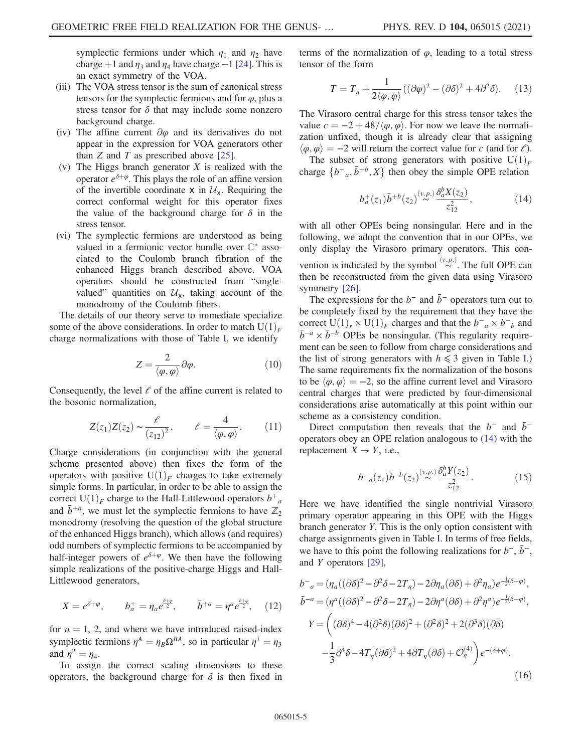symplectic fermions under which  $\eta_1$  and  $\eta_2$  have charge +1 and  $\eta_3$  and  $\eta_4$  have charge −1 [\[24\].](#page-10-0) This is an exact symmetry of the VOA.

- (iii) The VOA stress tensor is the sum of canonical stress tensors for the symplectic fermions and for  $\varphi$ , plus a stress tensor for  $\delta$  that may include some nonzero background charge.
- (iv) The affine current  $\partial \varphi$  and its derivatives do not appear in the expression for VOA generators other than  $Z$  and  $T$  as prescribed above [\[25\].](#page-10-1)
- (v) The Higgs branch generator X is realized with the operator  $e^{\delta+\varphi}$ . This plays the role of an affine version of the invertible coordinate  $x$  in  $\mathcal{U}_x$ . Requiring the correct conformal weight for this operator fixes the value of the background charge for  $\delta$  in the stress tensor.
- (vi) The symplectic fermions are understood as being valued in a fermionic vector bundle over  $\mathbb{C}^*$  associated to the Coulomb branch fibration of the enhanced Higgs branch described above. VOA operators should be constructed from "singlevalued" quantities on  $\mathcal{U}_x$ , taking account of the monodromy of the Coulomb fibers.

The details of our theory serve to immediate specialize some of the above considerations. In order to match  $U(1)<sub>F</sub>$ charge normalizations with those of Table [I](#page-3-1), we identify

$$
Z = \frac{2}{\langle \varphi, \varphi \rangle} \partial \varphi.
$$
 (10)

Consequently, the level  $\ell$  of the affine current is related to the bosonic normalization,

$$
Z(z_1)Z(z_2) \sim \frac{\ell}{(z_{12})^2}, \qquad \ell = \frac{4}{\langle \varphi, \varphi \rangle}.
$$
 (11)

Charge considerations (in conjunction with the general scheme presented above) then fixes the form of the operators with positive  $U(1)_F$  charges to take extremely simple forms. In particular, in order to be able to assign the correct  $U(1)<sub>F</sub>$  charge to the Hall-Littlewood operators  $b<sup>+</sup><sub>a</sub>$ and  $\bar{b}^{+a}$ , we must let the symplectic fermions to have  $\mathbb{Z}_2$ monodromy (resolving the question of the global structure of the enhanced Higgs branch), which allows (and requires) odd numbers of symplectic fermions to be accompanied by half-integer powers of  $e^{\delta+\varphi}$ . We then have the following simple realizations of the positive-charge Higgs and Hall-Littlewood generators,

<span id="page-4-2"></span>
$$
X = e^{\delta + \varphi}, \qquad b_a^+ = \eta_a e^{\frac{\delta + \varphi}{2}}, \qquad \bar{b}^{+a} = \eta^a e^{\frac{\delta + \varphi}{2}}, \quad (12)
$$

for  $a = 1$ , 2, and where we have introduced raised-index symplectic fermions  $\eta^A = \eta_B \Omega^{BA}$ , so in particular  $\eta^1 = \eta_3$ and  $\eta^2 = \eta_4$ .

To assign the correct scaling dimensions to these operators, the background charge for  $\delta$  is then fixed in terms of the normalization of  $\varphi$ , leading to a total stress tensor of the form

$$
T = T_{\eta} + \frac{1}{2\langle \varphi, \varphi \rangle} ((\partial \varphi)^{2} - (\partial \delta)^{2} + 4\partial^{2} \delta). \quad (13)
$$

The Virasoro central charge for this stress tensor takes the value  $c = -2 + 48/\langle \varphi, \varphi \rangle$ . For now we leave the normalization unfixed, though it is already clear that assigning  $\langle \varphi, \varphi \rangle = -2$  will return the correct value for c (and for  $\ell$ ).

<span id="page-4-0"></span>The subset of strong generators with positive  $U(1)_F$ charge  $\{b^+, a, \bar{b}^{+b}, X\}$  then obey the simple OPE relation

$$
b_a^+(z_1)\bar{b}^{+b}(z_2) \stackrel{(v.p.)}{\sim} \frac{\delta_a^b X(z_2)}{z_{12}^2},\tag{14}
$$

with all other OPEs being nonsingular. Here and in the following, we adopt the convention that in our OPEs, we only display the Virasoro primary operators. This convention is indicated by the symbol  $\stackrel{(v,p.)}{\sim}$ . The full OPE can then be reconstructed from the given data using Virasoro symmetry [\[26\]](#page-10-2).

The expressions for the  $b^-$  and  $\bar{b}^-$  operators turn out to be completely fixed by the requirement that they have the correct  $U(1)_r \times U(1)_F$  charges and that the  $b^-{}_a \times b^-{}_b$  and  $\bar{b}^-{}_a \times \bar{b}^-{}_b$  OPEs be nonsingular. (This require require- $\bar{b}^{-a} \times \bar{b}^{-b}$  OPEs be nonsingular. (This regularity requirement can be seen to follow from charge considerations and the list of strong generators with  $h \leq 3$  given in Table [I](#page-3-1).) The same requirements fix the normalization of the bosons to be  $\langle \varphi, \varphi \rangle = -2$ , so the affine current level and Virasoro central charges that were predicted by four-dimensional considerations arise automatically at this point within our scheme as a consistency condition.

<span id="page-4-1"></span>Direct computation then reveals that the  $b^-$  and  $\bar{b}^$ operators obey an OPE relation analogous to [\(14\)](#page-4-0) with the replacement  $X \rightarrow Y$ , i.e.,

$$
b^-{}_a(z_1)\bar{b}^{-b}(z_2)^{(\nu,\nu)}\frac{\delta_a^b Y(z_2)}{z_{12}^2}.
$$
 (15)

Here we have identified the single nontrivial Virasoro primary operator appearing in this OPE with the Higgs branch generator Y. This is the only option consistent with charge assignments given in Table [I](#page-3-1). In terms of free fields, we have to this point the following realizations for  $b^-$ ,  $\bar{b}^-$ , and Y operators [\[29\],](#page-10-3)

$$
b^-_a = (\eta_a((\partial \delta)^2 - \partial^2 \delta - 2T_\eta) - 2\partial \eta_a(\partial \delta) + \partial^2 \eta_a) e^{-\frac{1}{2}(\delta + \varphi)},
$$
  
\n
$$
\bar{b}^{-a} = (\eta^a((\partial \delta)^2 - \partial^2 \delta - 2T_\eta) - 2\partial \eta^a(\partial \delta) + \partial^2 \eta^a) e^{-\frac{1}{2}(\delta + \varphi)},
$$
  
\n
$$
Y = \left( (\partial \delta)^4 - 4(\partial^2 \delta)(\partial \delta)^2 + (\partial^2 \delta)^2 + 2(\partial^3 \delta)(\partial \delta) - \frac{1}{3}\partial^4 \delta - 4T_\eta(\partial \delta)^2 + 4\partial T_\eta(\partial \delta) + \mathcal{O}^{(4)}_\eta \right) e^{-(\delta + \varphi)}.
$$
  
\n(16)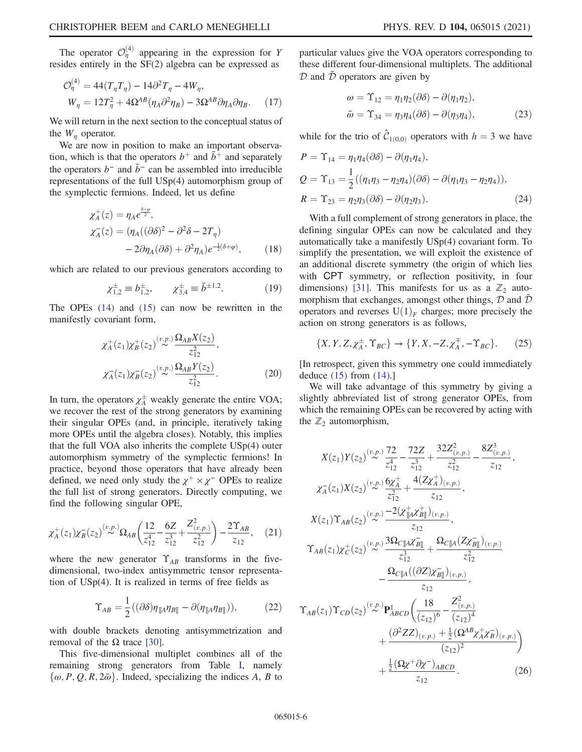<span id="page-5-7"></span>The operator  $\mathcal{O}_\eta^{(4)}$  appearing in the expression for Y resides entirely in the SF(2) algebra can be expressed as

$$
\mathcal{O}_{\eta}^{(4)} = 44(T_{\eta}T_{\eta}) - 14\partial^2 T_{\eta} - 4W_{\eta},
$$
  

$$
W_{\eta} = 12T_{\eta}^2 + 4\Omega^{AB}(\eta_A \partial^2 \eta_B) - 3\Omega^{AB}\partial \eta_A \partial \eta_B.
$$
 (17)

We will return in the next section to the conceptual status of the  $W_n$  operator.

We are now in position to make an important observation, which is that the operators  $b^+$  and  $\bar{b}^+$  and separately the operators  $b^-$  and  $\bar{b}^-$  can be assembled into irreducible representations of the full USp(4) automorphism group of the symplectic fermions. Indeed, let us define

$$
\chi_A^+(z) = \eta_A e^{\frac{\delta + \varphi}{2}},
$$
  
\n
$$
\chi_A^-(z) = (\eta_A((\partial \delta)^2 - \partial^2 \delta - 2T_\eta))
$$
  
\n
$$
-2\partial \eta_A(\partial \delta) + \partial^2 \eta_A e^{-\frac{1}{2}(\delta + \varphi)},
$$
\n(18)

<span id="page-5-0"></span>which are related to our previous generators according to

$$
\chi_{1,2}^{\pm} \equiv b_{1,2}^{\pm}, \qquad \chi_{3,4}^{\pm} \equiv \bar{b}^{\pm 1,2}.
$$
 (19)

<span id="page-5-3"></span>The OPEs [\(14\)](#page-4-0) and [\(15\)](#page-4-1) can now be rewritten in the manifestly covariant form,

$$
\chi_A^+(z_1)\chi_B^+(z_2) \stackrel{(v.p.)}{\sim} \frac{\Omega_{AB}X(z_2)}{z_{12}^2},
$$
  

$$
\chi_A^-(z_1)\chi_B^-(z_2) \stackrel{(v.p.)}{\sim} \frac{\Omega_{AB}Y(z_2)}{z_{12}^2}.
$$
 (20)

In turn, the operators  $\chi_A^{\pm}$  weakly generate the entire VOA; we recover the rest of the strong generators by examining their singular OPEs (and, in principle, iteratively taking more OPEs until the algebra closes). Notably, this implies that the full VOA also inherits the complete USp(4) outer automorphism symmetry of the symplectic fermions! In practice, beyond those operators that have already been defined, we need only study the  $\chi^+ \times \chi^-$  OPEs to realize the full list of strong generators. Directly computing, we find the following singular OPE,

<span id="page-5-4"></span>
$$
\chi_A^+(z_1)\chi_B^-(z_2)^{(\nu,p)}\Omega_{AB}\left(\frac{12}{z_{12}^4}-\frac{6Z}{z_{12}^3}+\frac{Z_{(\nu,p)}^2}{z_{12}^2}\right)-\frac{2\Upsilon_{AB}}{z_{12}},\quad(21)
$$

where the new generator  $\Upsilon_{AB}$  transforms in the fivedimensional, two-index antisymmetric tensor representation of USp(4). It is realized in terms of free fields as

$$
\Upsilon_{AB} = \frac{1}{2} \left( (\partial \delta) \eta_{\parallel A} \eta_{B\parallel} - \partial (\eta_{\parallel A} \eta_{B\parallel}) \right), \tag{22}
$$

with double brackets denoting antisymmetrization and removal of the  $Ω$  trace [\[30\]](#page-10-4).

This five-dimensional multiplet combines all of the remaining strong generators from Table [I,](#page-3-1) namely  $\{\omega, P, Q, R, 2\bar{\omega}\}\.$  Indeed, specializing the indices A, B to <span id="page-5-1"></span>particular values give the VOA operators corresponding to these different four-dimensional multiplets. The additional  $D$  and  $\bar{D}$  operators are given by

$$
\omega = \Upsilon_{12} = \eta_1 \eta_2 (\partial \delta) - \partial (\eta_1 \eta_2),
$$
  
\n
$$
\bar{\omega} = \Upsilon_{34} = \eta_3 \eta_4 (\partial \delta) - \partial (\eta_3 \eta_4),
$$
\n(23)

<span id="page-5-2"></span>while for the trio of  $\hat{C}_{1(0,0)}$  operators with  $h = 3$  we have

$$
P = \Upsilon_{14} = \eta_1 \eta_4 (\partial \delta) - \partial (\eta_1 \eta_4),
$$
  
\n
$$
Q = \Upsilon_{13} = \frac{1}{2} ((\eta_1 \eta_3 - \eta_2 \eta_4)(\partial \delta) - \partial (\eta_1 \eta_3 - \eta_2 \eta_4)),
$$
  
\n
$$
R = \Upsilon_{23} = \eta_2 \eta_3 (\partial \delta) - \partial (\eta_2 \eta_3).
$$
 (24)

With a full complement of strong generators in place, the defining singular OPEs can now be calculated and they automatically take a manifestly USp(4) covariant form. To simplify the presentation, we will exploit the existence of an additional discrete symmetry (the origin of which lies with CPT symmetry, or reflection positivity, in four dimensions) [\[31\]](#page-10-5). This manifests for us as a  $\mathbb{Z}_2$  automorphism that exchanges, amongst other things,  $D$  and  $D$ operators and reverses  $U(1)<sub>F</sub>$  charges; more precisely the action on strong generators is as follows,

<span id="page-5-6"></span>
$$
\{X, Y, Z, \chi_A^{\pm}, \Upsilon_{BC}\} \to \{Y, X, -Z, \chi_A^{\mp}, -\Upsilon_{BC}\}.
$$
 (25)

[In retrospect, given this symmetry one could immediately deduce [\(15\)](#page-4-1) from [\(14\)](#page-4-0).]

<span id="page-5-5"></span>We will take advantage of this symmetry by giving a slightly abbreviated list of strong generator OPEs, from which the remaining OPEs can be recovered by acting with the  $\mathbb{Z}_2$  automorphism,

$$
X(z_1)Y(z_2)^{(v,p)} \sim \frac{72}{z_{12}^4} - \frac{72Z}{z_{12}^3} + \frac{32Z_{(v,p)}^2}{z_{12}^2} - \frac{8Z_{(v,p)}^3}{z_{12}},
$$
  
\n
$$
\chi_A(z_1)X(z_2)^{(v,p)} \sim \frac{6\chi_A^+}{z_{12}^2} + \frac{4(Z\chi_A^+)_{(v,p)}}{z_{12}},
$$
  
\n
$$
X(z_1)Y_{AB}(z_2)^{(v,p)} \sim \frac{-2(\chi_{\parallel A}^+ \chi_{B\parallel}^+)_{(v,p)}}{z_{12}^3},
$$
  
\n
$$
Y_{AB}(z_1)\chi_C^+(z_2)^{(v,p)} \sim \frac{3\Omega_{C\parallel A}\chi_{B\parallel}^-}{z_{12}^3} + \frac{\Omega_{C\parallel A}(Z\chi_{B\parallel}^-)_{(v,p)}}{z_{12}^2},
$$
  
\n
$$
-\frac{\Omega_{C\parallel A}((\partial Z)\chi_{B\parallel}^-)_{(v,p)}}{z_{12}},
$$
  
\n
$$
Y_{AB}(z_1)Y_{CD}(z_2)^{(v,p)} \mathbf{P}_{ABCD}^1 \left(\frac{18}{(z_{12})^6} - \frac{Z_{(v,p)}^2}{(z_{12})^4} + \frac{(\partial^2 ZZ)_{(v,p)} + \frac{1}{2}(\Omega^{AB}\chi_A^+ \chi_B^-)_{(v,p)}}{(z_{12})^2}\right)
$$
  
\n
$$
+\frac{\frac{1}{2}(\Omega \chi^+ \partial \chi^-)_{ABCD}}{z_{12}}.
$$
  
\n(26)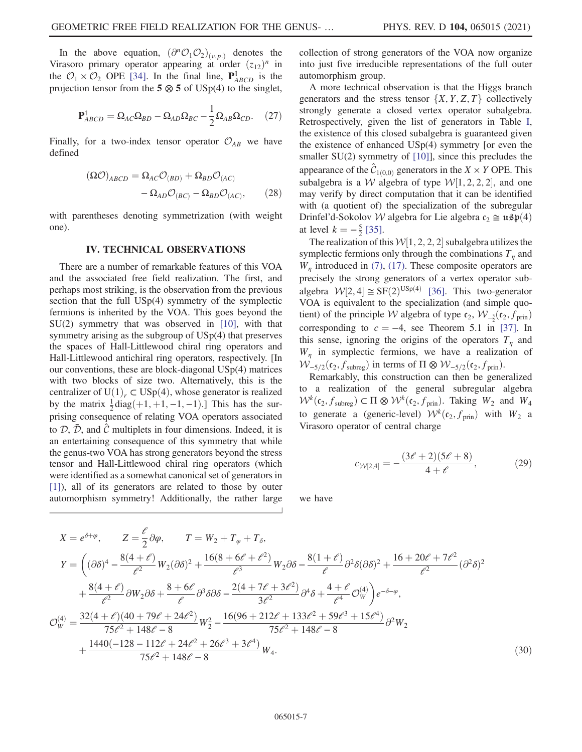In the above equation,  $(\partial^n \mathcal{O}_1 \mathcal{O}_2)_{(v,n)}$  denotes the Virasoro primary operator appearing at order  $(z_{12})^n$  in the  $\mathcal{O}_1 \times \mathcal{O}_2$  OPE [\[34\].](#page-10-6) In the final line,  $\mathbf{P}_{ABCD}^1$  is the projection tensor from the  $5 \otimes 5$  of USp(4) to the singlet,

$$
\mathbf{P}_{ABCD}^1 = \Omega_{AC} \Omega_{BD} - \Omega_{AD} \Omega_{BC} - \frac{1}{2} \Omega_{AB} \Omega_{CD}. \tag{27}
$$

Finally, for a two-index tensor operator  $\mathcal{O}_{AB}$  we have defined

$$
(\Omega \mathcal{O})_{ABCD} = \Omega_{AC} \mathcal{O}_{(BD)} + \Omega_{BD} \mathcal{O}_{(AC)}
$$

$$
- \Omega_{AD} \mathcal{O}_{(BC)} - \Omega_{BD} \mathcal{O}_{(AC)}, \qquad (28)
$$

with parentheses denoting symmetrization (with weight one).

#### IV. TECHNICAL OBSERVATIONS

<span id="page-6-0"></span>There are a number of remarkable features of this VOA and the associated free field realization. The first, and perhaps most striking, is the observation from the previous section that the full USp(4) symmetry of the symplectic fermions is inherited by the VOA. This goes beyond the SU(2) symmetry that was observed in [\[10\],](#page-9-8) with that symmetry arising as the subgroup of USp(4) that preserves the spaces of Hall-Littlewood chiral ring operators and Hall-Littlewood antichiral ring operators, respectively. [In our conventions, these are block-diagonal USp(4) matrices with two blocks of size two. Alternatively, this is the centralizer of U(1)<sub>r</sub> ⊂ USp(4), whose generator is realized by the matrix  $\frac{1}{2}$  diag(+1, +1, -1, -1).] This has the sur-<br>prising consequence of relating VOA operators associated prising consequence of relating VOA operators associated to  $D$ ,  $\bar{D}$ , and  $\hat{C}$  multiplets in four dimensions. Indeed, it is an entertaining consequence of this symmetry that while the genus-two VOA has strong generators beyond the stress tensor and Hall-Littlewood chiral ring operators (which were identified as a somewhat canonical set of generators in [\[1\]](#page-9-0)), all of its generators are related to those by outer automorphism symmetry! Additionally, the rather large collection of strong generators of the VOA now organize into just five irreducible representations of the full outer automorphism group.

A more technical observation is that the Higgs branch generators and the stress tensor  $\{X, Y, Z, T\}$  collectively strongly generate a closed vertex operator subalgebra. Retrospectively, given the list of generators in Table [I](#page-3-1), the existence of this closed subalgebra is guaranteed given the existence of enhanced USp(4) symmetry [or even the smaller SU(2) symmetry of [\[10\]\]](#page-9-8), since this precludes the appearance of the  $\hat{C}_{1(0,0)}$  generators in the  $X \times Y$  OPE. This subalgebra is a *W* algebra of type  $W[1, 2, 2, 2]$ , and one may verify by direct computation that it can be identified may verify by direct computation that it can be identified with (a quotient of) the specialization of the subregular Drinfel'd-Sokolov W algebra for Lie algebra  $c_2 \approx \mathfrak{usp}(4)$ at level  $k = -\frac{5}{2}$  [\[35\]](#page-10-7).<br>The realization of the

The realization of this  $W[1, 2, 2, 2]$  subalgebra utilizes the mplectic fermions only through the combinations  $T$  and symplectic fermions only through the combinations  $T_n$  and  $W_n$  introduced in [\(7\),](#page-3-3) [\(17\).](#page-5-7) These composite operators are precisely the strong generators of a vertex operator subalgebra  $W[2, 4] \cong SF(2)^{USp(4)}$  [\[36\].](#page-10-8) This two-generator VOA is equivalent to the specialization (and simple quo-VOA is equivalent to the specialization (and simple quotient) of the principle W algebra of type  $c_2$ ,  $W_{-\frac{5}{2}}(c_2, f_{\text{prin}})$ corresponding to  $c = -4$ , see Theorem 5.1 in [\[37\]](#page-10-9). In this sense, ignoring the origins of the operators  $T_n$  and  $W_n$  in symplectic fermions, we have a realization of  $W_{-5/2}(\mathfrak{c}_2, f_{\text{subreg}})$  in terms of  $\Pi \otimes W_{-5/2}(\mathfrak{c}_2, f_{\text{prin}})$ .

Remarkably, this construction can then be generalized to a realization of the general subregular algebra  $W^k(c_2, f_{\text{subreg}}) \subset \Pi \otimes W^k(c_2, f_{\text{prin}})$ . Taking  $W_2$  and  $W_4$ to generate a (generic-level)  $W^k(c_2, f_{\text{prin}})$  with  $W_2$  a Virasoro operator of central charge

$$
c_{\mathcal{W}[2,4]} = -\frac{(3\ell+2)(5\ell+8)}{4+\ell},\tag{29}
$$

we have

$$
X = e^{\delta + \varphi}, \qquad Z = \frac{\ell}{2} \partial \varphi, \qquad T = W_2 + T_{\varphi} + T_{\delta},
$$
  
\n
$$
Y = \left( (\partial \delta)^4 - \frac{8(4+\ell)}{\ell^2} W_2 (\partial \delta)^2 + \frac{16(8+6\ell+\ell^2)}{\ell^3} W_2 \partial \delta - \frac{8(1+\ell)}{\ell} \partial^2 \delta (\partial \delta)^2 + \frac{16+20\ell+7\ell^2}{\ell^2} (\partial^2 \delta)^2 + \frac{8(4+\ell)}{\ell^2} \partial W_2 \partial \delta + \frac{8+6\ell}{\ell} \partial^3 \delta \partial \delta - \frac{2(4+7\ell+3\ell^2)}{3\ell^2} \partial^4 \delta + \frac{4+\ell}{\ell^4} \mathcal{O}_W^{(4)} \right) e^{-\delta - \varphi},
$$
  
\n
$$
\mathcal{O}_W^{(4)} = \frac{32(4+\ell)(40+79\ell+24\ell^2)}{75\ell^2 + 148\ell - 8} W_2^2 - \frac{16(96+212\ell+133\ell^2+59\ell^3+15\ell^4)}{75\ell^2 + 148\ell - 8} \partial^2 W_2 + \frac{1440(-128-112\ell+24\ell^2+26\ell^3+3\ell^4)}{75\ell^2 + 148\ell - 8} W_4.
$$
  
\n(30)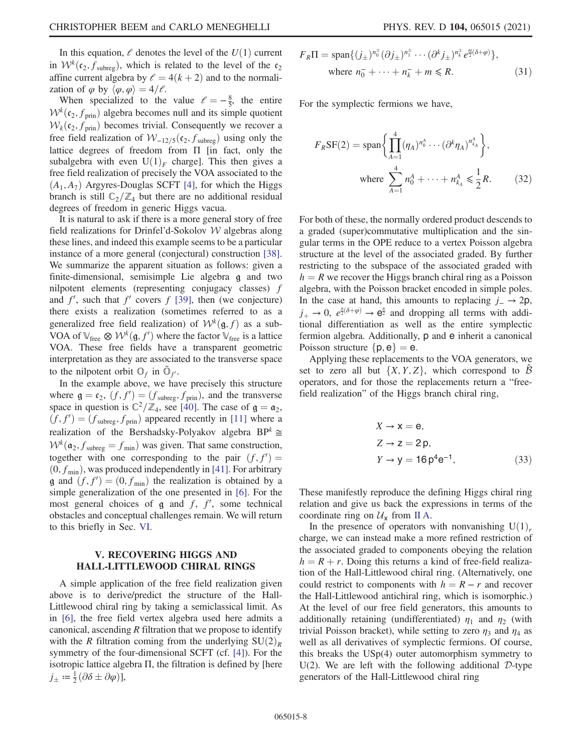In this equation,  $\ell$  denotes the level of the  $U(1)$  current in  $W^k(c_2, f_{\text{subreg}})$ , which is related to the level of the  $c_2$ affine current algebra by  $l = 4(k + 2)$  and to the normalization of  $\varphi$  by  $\langle \varphi, \varphi \rangle = 4/\ell$ .

When specialized to the value  $\ell = -\frac{8}{5}$ , the entire  $k(e, f)$  algebra becomes pull and its simple quotient  $W^{k}(c_2, f_{\text{prin}})$  algebra becomes null and its simple quotient  $W_k(c_2, f_{\text{prin}})$  becomes trivial. Consequently we recover a free field realization of  $W_{-12/5}$ ( $c_2$ ,  $f_{\text{subreg}}$ ) using only the lattice degrees of freedom from Π [in fact, only the subalgebra with even  $U(1)_F$  charge]. This then gives a free field realization of precisely the VOA associated to the  $(A_1, A_7)$  Argyres-Douglas SCFT [\[4\]](#page-9-2), for which the Higgs branch is still  $\mathbb{C}_2/\mathbb{Z}_4$  but there are no additional residual degrees of freedom in generic Higgs vacua.

It is natural to ask if there is a more general story of free field realizations for Drinfel'd-Sokolov W algebras along these lines, and indeed this example seems to be a particular instance of a more general (conjectural) construction [\[38\]](#page-10-10). We summarize the apparent situation as follows: given a finite-dimensional, semisimple Lie algebra g and two nilpotent elements (representing conjugacy classes) f and  $f'$ , such that  $f'$  covers  $f$  [\[39\]](#page-10-11), then (we conjecture) there exists a realization (sometimes referred to as a generalized free field realization) of  $W^k(\mathfrak{g}, f)$  as a sub-VOA of  $\mathbb{V}_{\text{free}} \otimes \mathcal{W}^k(\mathfrak{g}, f')$  where the factor  $\mathbb{V}_{\text{free}}$  is a lattice VOA. These free fields have a transparent geometric VOA. These free fields have a transparent geometric interpretation as they are associated to the transverse space to the nilpotent orbit  $\mathbb{O}_f$  in  $\mathbb{O}_{f'}$ .

In the example above, we have precisely this structure where  $\mathbf{g} = \mathbf{c}_2$ ,  $(f, f') = (f_{\text{subreg}}, f_{\text{prin}})$ , and the transverse<br>space in question is  $\mathbb{C}^2/\mathbb{Z}$ , see [40]. The case of  $\mathbf{a} = \mathbf{a}$ . space in question is  $\mathbb{C}^2/\mathbb{Z}_4$ , see [\[40\]](#page-10-12). The case of  $\mathfrak{g} = \mathfrak{a}_2$ ,  $(f, f') = (f_{\text{subreg}}, f_{\text{prin}})$  appeared recently in [\[11\]](#page-9-9) where a<br>realization of the Berchedeky Polygkov elgebra BDk  $\sim$ realization of the Bershadsky-Polyakov algebra BP<sup>k</sup> ≅  $W^k(\mathfrak{a}_2, f_{\text{subreg}} = f_{\text{min}})$  was given. That same construction, together with one corresponding to the pair  $(f, f') =$  $(0, f_{\min})$ , was produced independently in [\[41\]](#page-10-13). For arbitrary<br> $\alpha$  and  $(f f') = (0, f_{\min})$  the realization is obtained by a **g** and  $(f, f') = (0, f_{min})$  the realization is obtained by a simple generalization of the one presented in [6]. For the simple generalization of the one presented in [\[6\]](#page-9-4). For the most general choices of  $\mathfrak g$  and  $f, f'$ , some technical<br>obstacles and concentual challenges remain. We will return obstacles and conceptual challenges remain. We will return to this briefly in Sec. [VI](#page-8-0).

# <span id="page-7-0"></span>V. RECOVERING HIGGS AND HALL-LITTLEWOOD CHIRAL RINGS

A simple application of the free field realization given above is to derive/predict the structure of the Hall-Littlewood chiral ring by taking a semiclassical limit. As in [\[6\]](#page-9-4), the free field vertex algebra used here admits a canonical, ascending  $R$  filtration that we propose to identify with the R filtration coming from the underlying  $SU(2)_R$ symmetry of the four-dimensional SCFT (cf. [\[4\]](#page-9-2)). For the isotropic lattice algebra Π, the filtration is defined by [here  $j_{\pm} := \frac{1}{2} (\partial \delta \pm \partial \varphi)],$ 

$$
F_R \Pi = \text{span}\{ (j_\pm)^{n_0^+} (\partial j_\pm)^{n_1^+} \cdots (\partial^k j_\pm)^{n_k^+} e^{\frac{m}{2}(\delta + \varphi)} \},
$$
  
where  $n_0^- + \cdots + n_k^- + m \le R$ . (31)

For the symplectic fermions we have,

$$
F_R S F(2) = \text{span}\left\{ \prod_{A=1}^4 (\eta_A)^{n_0^A} \cdots (\partial^k \eta_A)^{n_{k_A}^A} \right\},\
$$
  
where 
$$
\sum_{A=1}^4 n_0^A + \cdots + n_{k_A}^A \le \frac{1}{2} R.
$$
 (32)

For both of these, the normally ordered product descends to a graded (super)commutative multiplication and the singular terms in the OPE reduce to a vertex Poisson algebra structure at the level of the associated graded. By further restricting to the subspace of the associated graded with  $h = R$  we recover the Higgs branch chiral ring as a Poisson algebra, with the Poisson bracket encoded in simple poles. In the case at hand, this amounts to replacing  $j = \rightarrow 2p$ ,  $j_+ \to 0$ ,  $e^{\frac{n}{2}(\delta + \varphi)} \to e^{\frac{n}{2}}$  and dropping all terms with additional differentiation as well as the entire symplectic tional differentiation as well as the entire symplectic fermion algebra. Additionally, p and e inherit a canonical Poisson structure  $\{p, e\} = e$ .

Applying these replacements to the VOA generators, we set to zero all but  $\{X, Y, Z\}$ , which correspond to  $\beta$ operators, and for those the replacements return a "freefield realization" of the Higgs branch chiral ring,

$$
X \to \mathbf{x} = \mathbf{e},
$$
  
\n
$$
Z \to \mathbf{z} = 2\,\mathbf{p},
$$
  
\n
$$
Y \to \mathbf{y} = 16\,\mathbf{p}^4\mathbf{e}^{-1},
$$
\n(33)

These manifestly reproduce the defining Higgs chiral ring relation and give us back the expressions in terms of the coordinate ring on  $\mathcal{U}_x$  from [II A](#page-1-3).

In the presence of operators with nonvanishing  $U(1)<sub>r</sub>$ charge, we can instead make a more refined restriction of the associated graded to components obeying the relation  $h = R + r$ . Doing this returns a kind of free-field realization of the Hall-Littlewood chiral ring. (Alternatively, one could restrict to components with  $h = R - r$  and recover the Hall-Littlewood antichiral ring, which is isomorphic.) At the level of our free field generators, this amounts to additionally retaining (undifferentiated)  $\eta_1$  and  $\eta_2$  (with trivial Poisson bracket), while setting to zero  $\eta_3$  and  $\eta_4$  as well as all derivatives of symplectic fermions. Of course, this breaks the USp(4) outer automorphism symmetry to U(2). We are left with the following additional  $D$ -type generators of the Hall-Littlewood chiral ring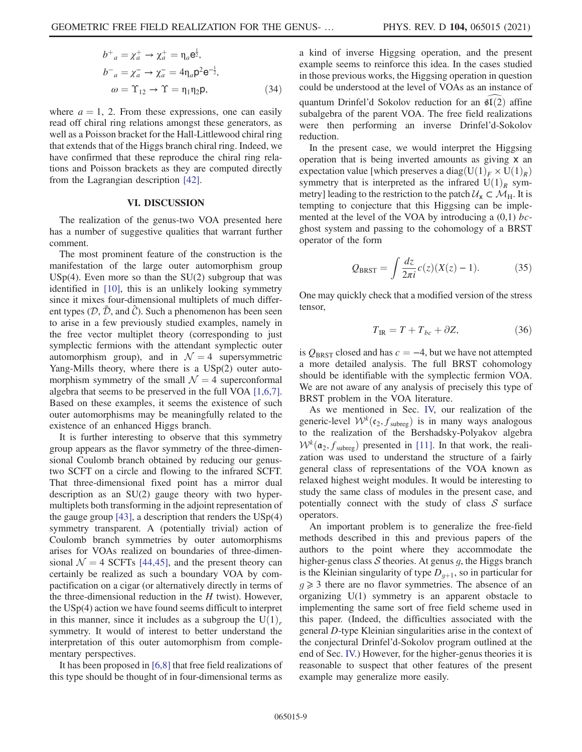$$
b^{+}{}_{a} = \chi_{a}^{+} \rightarrow \chi_{a}^{+} = \eta_{a} \mathbf{e}_{z}^{\frac{1}{2}},
$$
  
\n
$$
b^{-}{}_{a} = \chi_{a}^{-} \rightarrow \chi_{a}^{-} = 4\eta_{a} \mathbf{p}^{2} \mathbf{e}_{z}^{-\frac{1}{2}},
$$
  
\n
$$
\omega = \Upsilon_{12} \rightarrow \Upsilon = \eta_{1} \eta_{2} \mathbf{p},
$$
\n(34)

where  $a = 1$ , 2. From these expressions, one can easily read off chiral ring relations amongst these generators, as well as a Poisson bracket for the Hall-Littlewood chiral ring that extends that of the Higgs branch chiral ring. Indeed, we have confirmed that these reproduce the chiral ring relations and Poisson brackets as they are computed directly from the Lagrangian description [\[42\]](#page-10-14).

#### VI. DISCUSSION

<span id="page-8-0"></span>The realization of the genus-two VOA presented here has a number of suggestive qualities that warrant further comment.

The most prominent feature of the construction is the manifestation of the large outer automorphism group  $USp(4)$ . Even more so than the  $SU(2)$  subgroup that was identified in [\[10\]](#page-9-8), this is an unlikely looking symmetry since it mixes four-dimensional multiplets of much different types ( $(D, \bar{D})$ , and  $\hat{C}$ ). Such a phenomenon has been seen to arise in a few previously studied examples, namely in the free vector multiplet theory (corresponding to just symplectic fermions with the attendant symplectic outer automorphism group), and in  $\mathcal{N} = 4$  supersymmetric Yang-Mills theory, where there is a USp(2) outer automorphism symmetry of the small  $\mathcal{N} = 4$  superconformal algebra that seems to be preserved in the full VOA [\[1,6,7\]](#page-9-0). Based on these examples, it seems the existence of such outer automorphisms may be meaningfully related to the existence of an enhanced Higgs branch.

It is further interesting to observe that this symmetry group appears as the flavor symmetry of the three-dimensional Coulomb branch obtained by reducing our genustwo SCFT on a circle and flowing to the infrared SCFT. That three-dimensional fixed point has a mirror dual description as an SU(2) gauge theory with two hypermultiplets both transforming in the adjoint representation of the gauge group [\[43\],](#page-10-15) a description that renders the USp(4) symmetry transparent. A (potentially trivial) action of Coulomb branch symmetries by outer automorphisms arises for VOAs realized on boundaries of three-dimensional  $\mathcal{N} = 4$  SCFTs [\[44,45\],](#page-10-16) and the present theory can certainly be realized as such a boundary VOA by compactification on a cigar (or alternatively directly in terms of the three-dimensional reduction in the  $H$  twist). However, the USp(4) action we have found seems difficult to interpret in this manner, since it includes as a subgroup the  $U(1)<sub>r</sub>$ symmetry. It would of interest to better understand the interpretation of this outer automorphism from complementary perspectives.

It has been proposed in [\[6,8\]](#page-9-4) that free field realizations of this type should be thought of in four-dimensional terms as a kind of inverse Higgsing operation, and the present example seems to reinforce this idea. In the cases studied in those previous works, the Higgsing operation in question could be understood at the level of VOAs as an instance of quantum Drinfel'd Sokolov reduction for an  $\mathfrak{sl}(2)$  affine subalgebra of the parent VOA. The free field realizations were then performing an inverse Drinfel'd-Sokolov reduction.

In the present case, we would interpret the Higgsing operation that is being inverted amounts as giving x an expectation value [which preserves a diag $(U(1)_F \times U(1)_R)$ ] symmetry that is interpreted as the infrared  $U(1)<sub>R</sub>$  symmetry] leading to the restriction to the patch  $U_x \subset M_H$ . It is tempting to conjecture that this Higgsing can be implemented at the level of the VOA by introducing a  $(0,1)$  bcghost system and passing to the cohomology of a BRST operator of the form

$$
Q_{\text{BRST}} = \int \frac{dz}{2\pi i} c(z) (X(z) - 1).
$$
 (35)

One may quickly check that a modified version of the stress tensor,

$$
T_{\rm IR} = T + T_{bc} + \partial Z,\tag{36}
$$

is  $Q_{BRST}$  closed and has  $c = -4$ , but we have not attempted a more detailed analysis. The full BRST cohomology should be identifiable with the symplectic fermion VOA. We are not aware of any analysis of precisely this type of BRST problem in the VOA literature.

As we mentioned in Sec. [IV,](#page-6-0) our realization of the generic-level  $W^k(c_2, f_{\text{subreg}})$  is in many ways analogous<br>to the realization of the Bershadsky-Polyakov algebra  $W^k(\mathfrak{a}_2, f_{\text{subreg}})$  presented in [\[11\]](#page-9-9). In that work, the realization was used to understand the structure of a fairly general class of representations of the VOA known as relaxed highest weight modules. It would be interesting to study the same class of modules in the present case, and potentially connect with the study of class  $S$  surface operators.

An important problem is to generalize the free-field methods described in this and previous papers of the authors to the point where they accommodate the higher-genus class  $S$  theories. At genus  $q$ , the Higgs branch is the Kleinian singularity of type  $D_{q+1}$ , so in particular for  $g \geq 3$  there are no flavor symmetries. The absence of an organizing U(1) symmetry is an apparent obstacle to implementing the same sort of free field scheme used in this paper. (Indeed, the difficulties associated with the general D-type Kleinian singularities arise in the context of the conjectural Drinfel'd-Sokolov program outlined at the end of Sec. [IV.](#page-6-0)) However, for the higher-genus theories it is reasonable to suspect that other features of the present example may generalize more easily.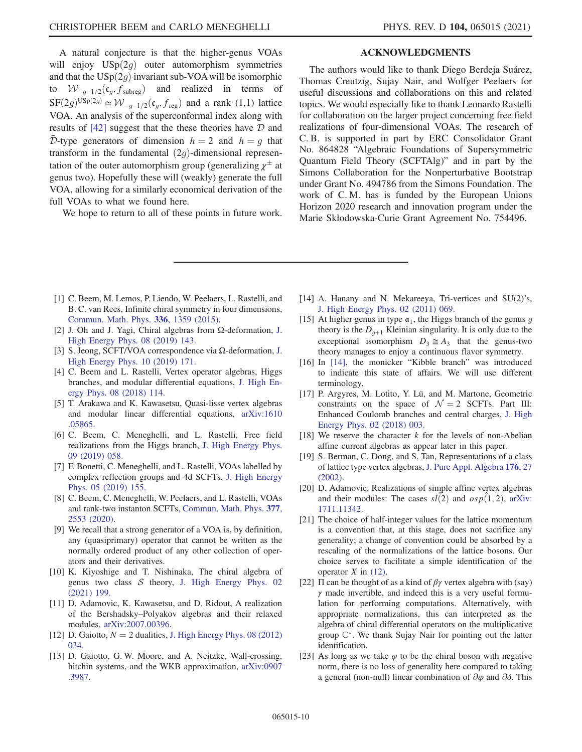A natural conjecture is that the higher-genus VOAs will enjoy  $USp(2g)$  outer automorphism symmetries and that the  $USp(2g)$  invariant sub-VOA will be isomorphic to  $W_{-q-1/2}(\mathfrak{c}_q, f_{\text{subreg}})$  and realized in terms of  $SF(2g)^{USp(2g)} \simeq W_{-g-1/2}(\mathfrak{c}_g, f_{\text{reg}})$  and a rank (1,1) lattice VOA. An analysis of the superconformal index along with results of  $[42]$  suggest that the these theories have  $D$  and  $\overline{\mathcal{D}}$ -type generators of dimension  $h = 2$  and  $h = q$  that transform in the fundamental  $(2q)$ -dimensional representation of the outer automorphism group (generalizing  $\chi^{\pm}$  at genus two). Hopefully these will (weakly) generate the full VOA, allowing for a similarly economical derivation of the full VOAs to what we found here.

We hope to return to all of these points in future work.

### ACKNOWLEDGMENTS

The authors would like to thank Diego Berdeja Suárez, Thomas Creutzig, Sujay Nair, and Wolfger Peelaers for useful discussions and collaborations on this and related topics. We would especially like to thank Leonardo Rastelli for collaboration on the larger project concerning free field realizations of four-dimensional VOAs. The research of C. B. is supported in part by ERC Consolidator Grant No. 864828 "Algebraic Foundations of Supersymmetric Quantum Field Theory (SCFTAlg)" and in part by the Simons Collaboration for the Nonperturbative Bootstrap under Grant No. 494786 from the Simons Foundation. The work of C. M. has is funded by the European Unions Horizon 2020 research and innovation program under the Marie Skłodowska-Curie Grant Agreement No. 754496.

- <span id="page-9-0"></span>[1] C. Beem, M. Lemos, P. Liendo, W. Peelaers, L. Rastelli, and B. C. van Rees, Infinite chiral symmetry in four dimensions, [Commun. Math. Phys.](https://doi.org/10.1007/s00220-014-2272-x) 336, 1359 (2015).
- <span id="page-9-1"></span>[2] J. Oh and J. Yagi, Chiral algebras from Ω-deformation, [J.](https://doi.org/10.1007/JHEP08(2019)143) [High Energy Phys. 08 \(2019\) 143.](https://doi.org/10.1007/JHEP08(2019)143)
- [3] S. Jeong, SCFT/VOA correspondence via Ω-deformation, [J.](https://doi.org/10.1007/JHEP10(2019)171) [High Energy Phys. 10 \(2019\) 171.](https://doi.org/10.1007/JHEP10(2019)171)
- <span id="page-9-2"></span>[4] C. Beem and L. Rastelli, Vertex operator algebras, Higgs branches, and modular differential equations, [J. High En](https://doi.org/10.1007/JHEP08(2018)114)[ergy Phys. 08 \(2018\) 114.](https://doi.org/10.1007/JHEP08(2018)114)
- <span id="page-9-3"></span>[5] T. Arakawa and K. Kawasetsu, Quasi-lisse vertex algebras and modular linear differential equations, [arXiv:1610](https://arXiv.org/abs/1610.05865) [.05865.](https://arXiv.org/abs/1610.05865)
- <span id="page-9-4"></span>[6] C. Beem, C. Meneghelli, and L. Rastelli, Free field realizations from the Higgs branch, [J. High Energy Phys.](https://doi.org/10.1007/JHEP09(2019)058) [09 \(2019\) 058.](https://doi.org/10.1007/JHEP09(2019)058)
- <span id="page-9-5"></span>[7] F. Bonetti, C. Meneghelli, and L. Rastelli, VOAs labelled by complex reflection groups and 4d SCFTs, [J. High Energy](https://doi.org/10.1007/JHEP05(2019)155) [Phys. 05 \(2019\) 155.](https://doi.org/10.1007/JHEP05(2019)155)
- <span id="page-9-6"></span>[8] C. Beem, C. Meneghelli, W. Peelaers, and L. Rastelli, VOAs and rank-two instanton SCFTs, [Commun. Math. Phys.](https://doi.org/10.1007/s00220-020-03746-9) 377, [2553 \(2020\)](https://doi.org/10.1007/s00220-020-03746-9).
- <span id="page-9-7"></span>[9] We recall that a strong generator of a VOA is, by definition, any (quasiprimary) operator that cannot be written as the normally ordered product of any other collection of operators and their derivatives.
- <span id="page-9-8"></span>[10] K. Kiyoshige and T. Nishinaka, The chiral algebra of genus two class  $S$  theory, [J. High Energy Phys. 02](https://doi.org/10.1007/JHEP02(2021)199) [\(2021\) 199.](https://doi.org/10.1007/JHEP02(2021)199)
- <span id="page-9-9"></span>[11] D. Adamovic, K. Kawasetsu, and D. Ridout, A realization of the Bershadsky–Polyakov algebras and their relaxed modules, [arXiv:2007.00396](https://arXiv.org/abs/2007.00396).
- <span id="page-9-10"></span>[12] D. Gaiotto,  $N = 2$  dualities, [J. High Energy Phys. 08 \(2012\)](https://doi.org/10.1007/JHEP08(2012)034) [034.](https://doi.org/10.1007/JHEP08(2012)034)
- [13] D. Gaiotto, G. W. Moore, and A. Neitzke, Wall-crossing, hitchin systems, and the WKB approximation,  $arXiv:0907$ [.3987](https://arXiv.org/abs/0907.3987).
- <span id="page-9-11"></span>[14] A. Hanany and N. Mekareeya, Tri-vertices and SU(2)'s, [J. High Energy Phys. 02 \(2011\) 069.](https://doi.org/10.1007/JHEP02(2011)069)
- <span id="page-9-12"></span>[15] At higher genus in type  $a_1$ , the Higgs branch of the genus g theory is the  $D_{q+1}$  Kleinian singularity. It is only due to the exceptional isomorphism  $D_3 \cong A_3$  that the genus-two theory manages to enjoy a continuous flavor symmetry.
- <span id="page-9-13"></span>[16] In [\[14\],](#page-9-11) the monicker "Kibble branch" was introduced to indicate this state of affairs. We will use different terminology.
- <span id="page-9-14"></span>[17] P. Argyres, M. Lotito, Y. Lü, and M. Martone, Geometric constraints on the space of  $\mathcal{N} = 2$  SCFTs. Part III: Enhanced Coulomb branches and central charges, [J. High](https://doi.org/10.1007/JHEP02(2018)003) [Energy Phys. 02 \(2018\) 003.](https://doi.org/10.1007/JHEP02(2018)003)
- <span id="page-9-15"></span>[18] We reserve the character  $k$  for the levels of non-Abelian affine current algebras as appear later in this paper.
- <span id="page-9-16"></span>[19] S. Berman, C. Dong, and S. Tan, Representations of a class of lattice type vertex algebras, [J. Pure Appl. Algebra](https://doi.org/10.1016/S0022-4049(02)00053-1) 176, 27 [\(2002\).](https://doi.org/10.1016/S0022-4049(02)00053-1)
- [20] D. Adamovic, Realizations of simple affine vertex algebras and their modules: The cases  $sl(2)$  and  $osp(1, 2)$ , [arXiv:](https://arXiv.org/abs/1711.11342) [1711.11342.](https://arXiv.org/abs/1711.11342)
- <span id="page-9-17"></span>[21] The choice of half-integer values for the lattice momentum is a convention that, at this stage, does not sacrifice any generality; a change of convention could be absorbed by a rescaling of the normalizations of the lattice bosons. Our choice serves to facilitate a simple identification of the operator  $X$  in [\(12\).](#page-4-2)
- <span id="page-9-18"></span>[22]  $\Pi$  can be thought of as a kind of  $\beta\gamma$  vertex algebra with (say)  $\gamma$  made invertible, and indeed this is a very useful formulation for performing computations. Alternatively, with appropriate normalizations, this can interpreted as the algebra of chiral differential operators on the multiplicative group  $\mathbb{C}^*$ . We thank Sujay Nair for pointing out the latter identification.
- <span id="page-9-19"></span>[23] As long as we take  $\varphi$  to be the chiral boson with negative norm, there is no loss of generality here compared to taking a general (non-null) linear combination of  $\partial \varphi$  and  $\partial \delta$ . This